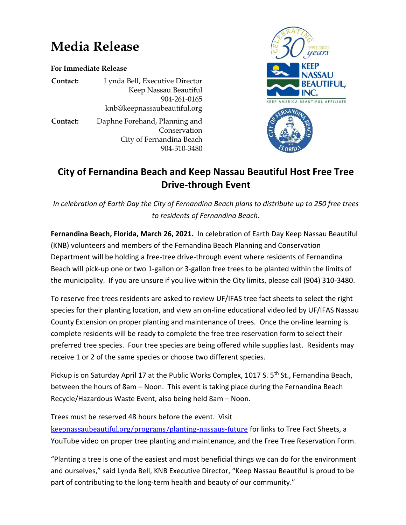## **Media Release**

**For Immediate Release**

**Contact:** Lynda Bell, Executive Director Keep Nassau Beautiful 904-261-0165 knb@keepnassaubeautiful.org

**Contact:** Daphne Forehand, Planning and Conservation City of Fernandina Beach 904-310-3480



## **City of Fernandina Beach and Keep Nassau Beautiful Host Free Tree Drive-through Event**

*In celebration of Earth Day the City of Fernandina Beach plans to distribute up to 250 free trees to residents of Fernandina Beach.*

**Fernandina Beach, Florida, March 26, 2021.** In celebration of Earth Day Keep Nassau Beautiful (KNB) volunteers and members of the Fernandina Beach Planning and Conservation Department will be holding a free-tree drive-through event where residents of Fernandina Beach will pick-up one or two 1-gallon or 3-gallon free trees to be planted within the limits of the municipality. If you are unsure if you live within the City limits, please call (904) 310-3480.

To reserve free trees residents are asked to review UF/IFAS tree fact sheets to select the right species for their planting location, and view an on-line educational video led by UF/IFAS Nassau County Extension on proper planting and maintenance of trees. Once the on-line learning is complete residents will be ready to complete the free tree reservation form to select their preferred tree species. Four tree species are being offered while supplies last. Residents may receive 1 or 2 of the same species or choose two different species.

Pickup is on Saturday April 17 at the Public Works Complex, 1017 S. 5<sup>th</sup> St., Fernandina Beach, between the hours of 8am – Noon. This event is taking place during the Fernandina Beach Recycle/Hazardous Waste Event, also being held 8am – Noon.

Trees must be reserved 48 hours before the event. Visit [keepnassaubeautiful.org/programs/planting-nassaus-future](http://keepnassaubeautiful.org/programs/planting-nassaus-future?fbclid=IwAR1m9uG3ZpdzNnV0E0uTr57CXpw6upLCLnhBKVkDe7jYYK7WkrFhF-6Uexg) for links to Tree Fact Sheets, a YouTube video on proper tree planting and maintenance, and the Free Tree Reservation Form.

"Planting a tree is one of the easiest and most beneficial things we can do for the environment and ourselves," said Lynda Bell, KNB Executive Director, "Keep Nassau Beautiful is proud to be part of contributing to the long-term health and beauty of our community."